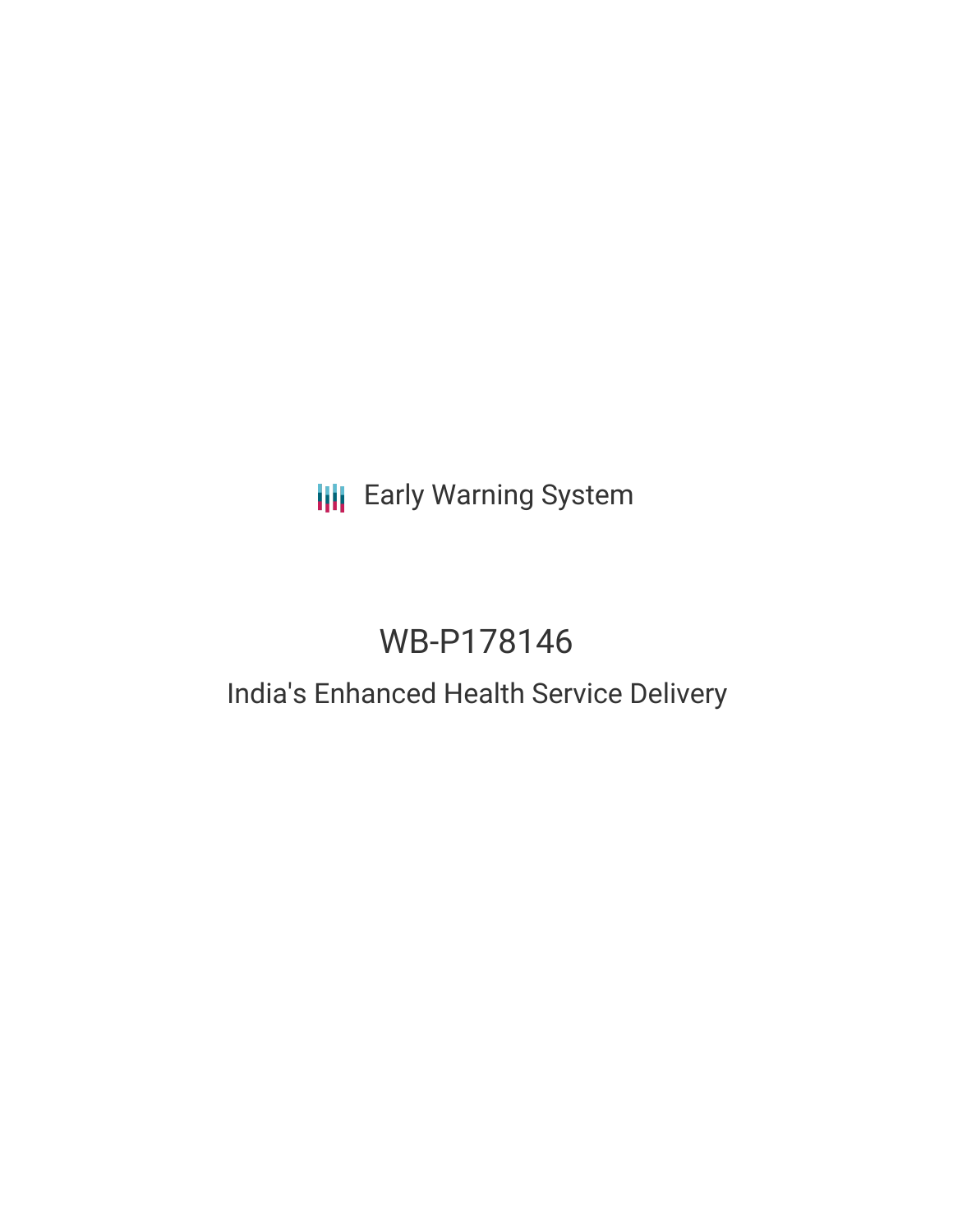# **III** Early Warning System

# WB-P178146

# India's Enhanced Health Service Delivery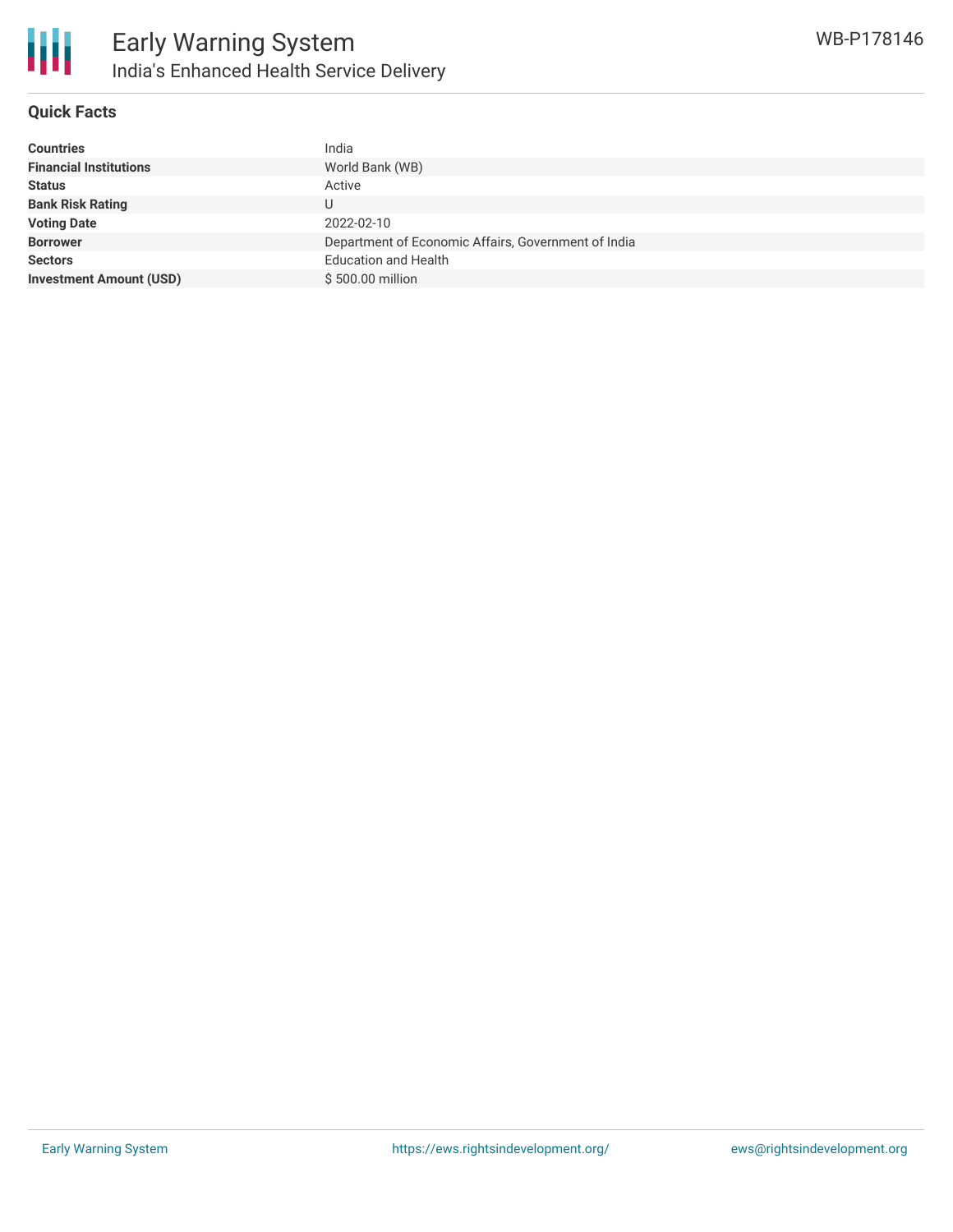

### **Quick Facts**

| <b>Countries</b>               | India                                               |
|--------------------------------|-----------------------------------------------------|
| <b>Financial Institutions</b>  | World Bank (WB)                                     |
| <b>Status</b>                  | Active                                              |
| <b>Bank Risk Rating</b>        |                                                     |
| <b>Voting Date</b>             | 2022-02-10                                          |
| <b>Borrower</b>                | Department of Economic Affairs, Government of India |
| <b>Sectors</b>                 | <b>Education and Health</b>                         |
| <b>Investment Amount (USD)</b> | \$500.00 million                                    |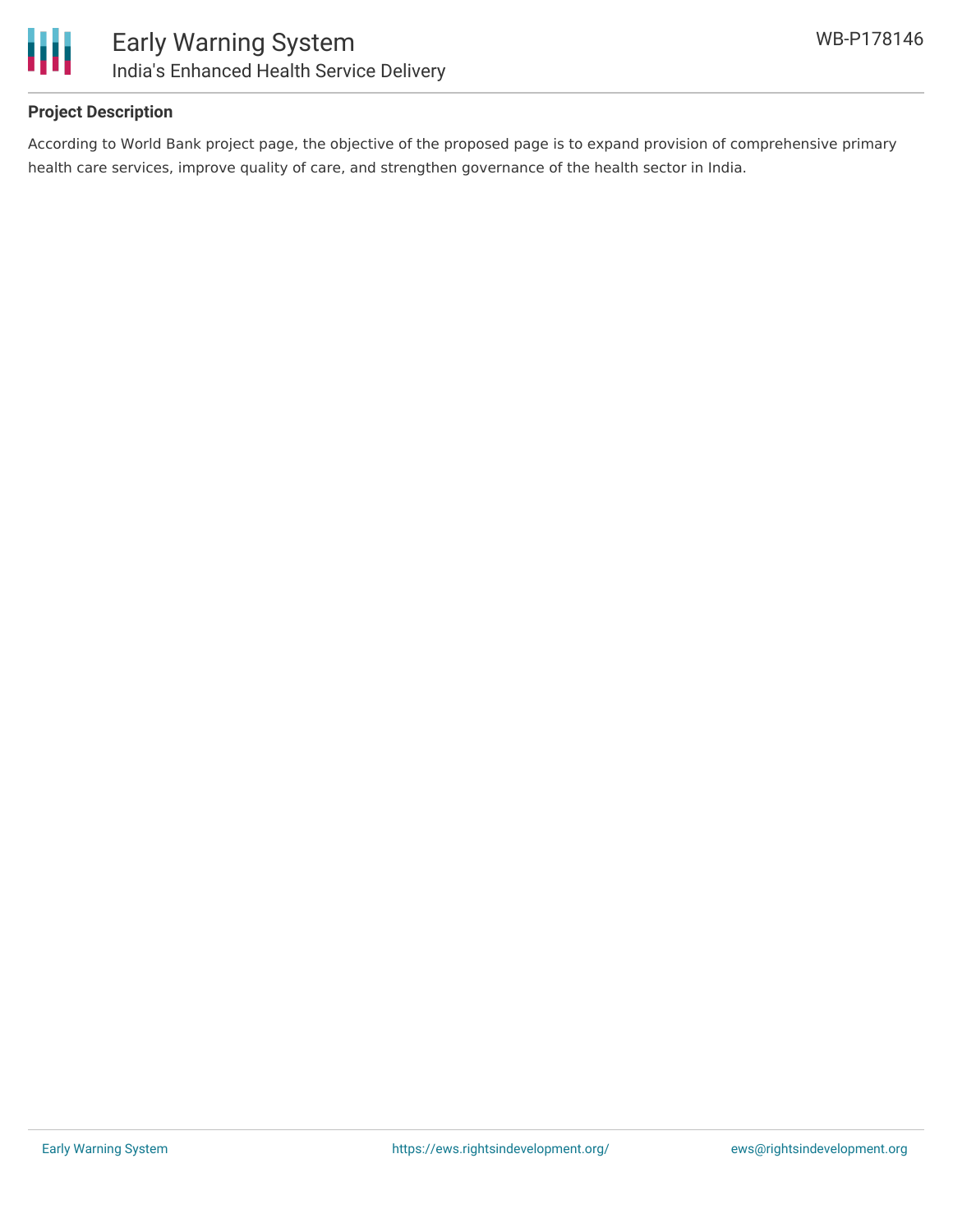

## **Project Description**

According to World Bank project page, the objective of the proposed page is to expand provision of comprehensive primary health care services, improve quality of care, and strengthen governance of the health sector in India.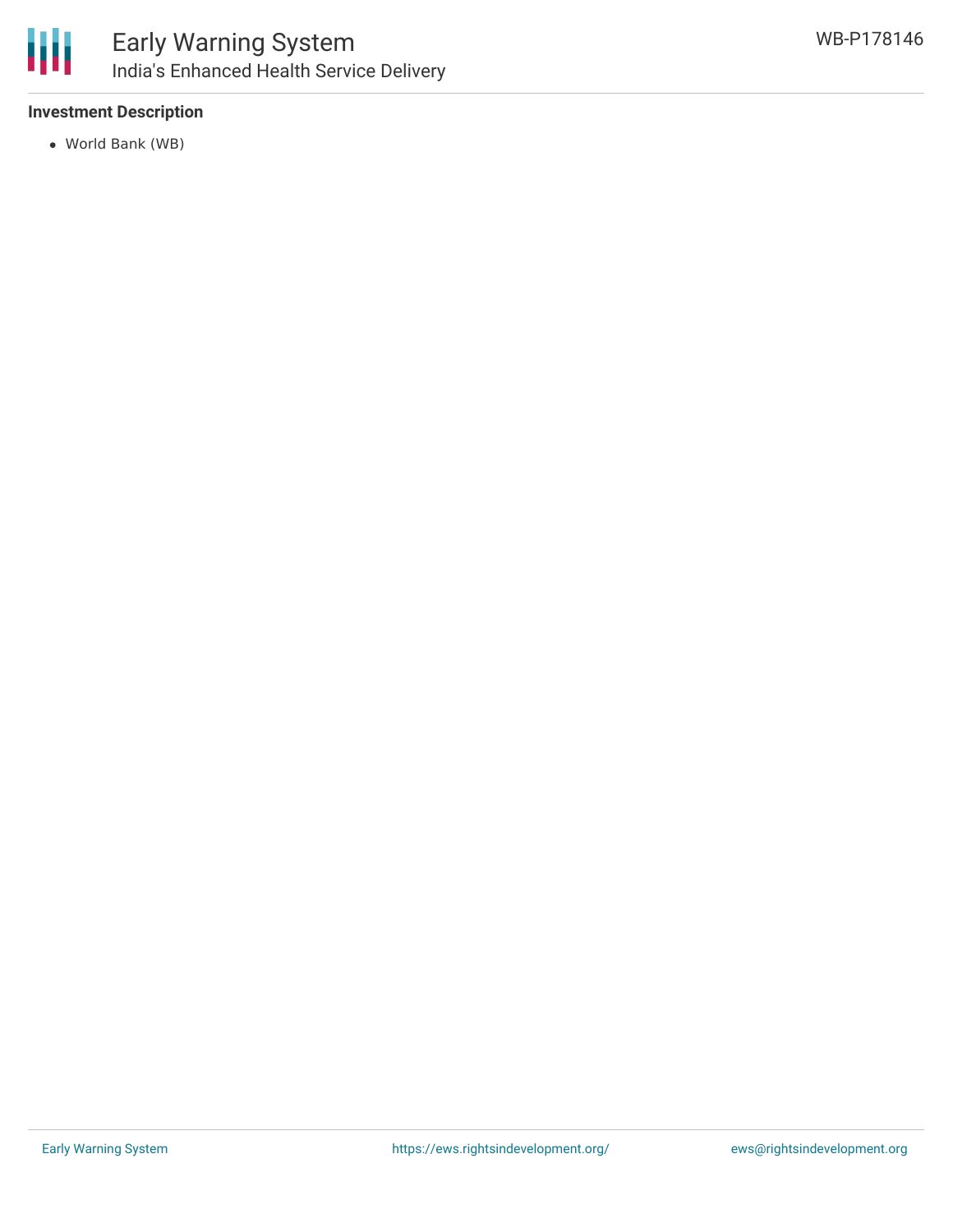

## **Investment Description**

World Bank (WB)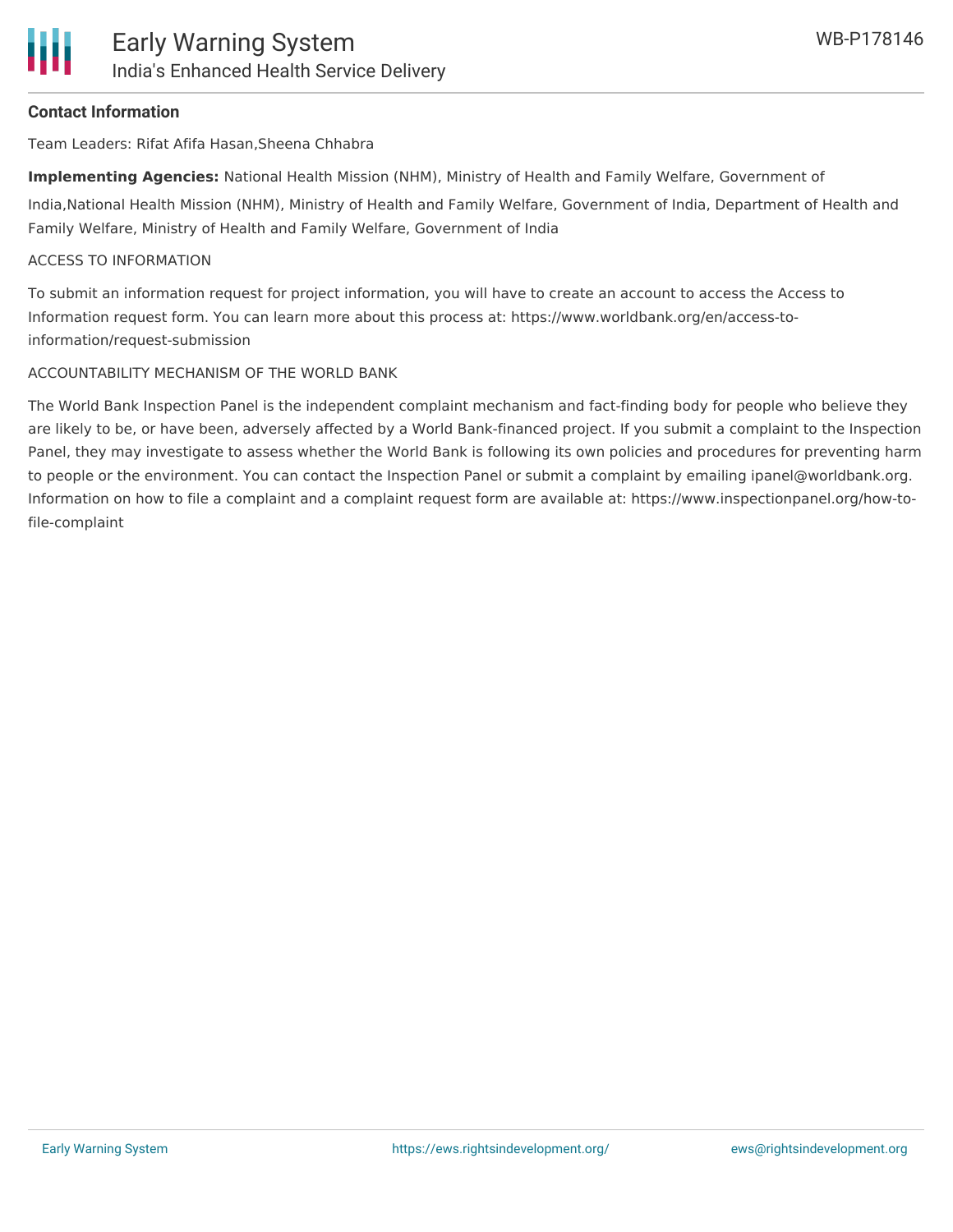#### **Contact Information**

Team Leaders: Rifat Afifa Hasan,Sheena Chhabra

**Implementing Agencies:** National Health Mission (NHM), Ministry of Health and Family Welfare, Government of

India,National Health Mission (NHM), Ministry of Health and Family Welfare, Government of India, Department of Health and Family Welfare, Ministry of Health and Family Welfare, Government of India

#### ACCESS TO INFORMATION

To submit an information request for project information, you will have to create an account to access the Access to Information request form. You can learn more about this process at: https://www.worldbank.org/en/access-toinformation/request-submission

#### ACCOUNTABILITY MECHANISM OF THE WORLD BANK

The World Bank Inspection Panel is the independent complaint mechanism and fact-finding body for people who believe they are likely to be, or have been, adversely affected by a World Bank-financed project. If you submit a complaint to the Inspection Panel, they may investigate to assess whether the World Bank is following its own policies and procedures for preventing harm to people or the environment. You can contact the Inspection Panel or submit a complaint by emailing ipanel@worldbank.org. Information on how to file a complaint and a complaint request form are available at: https://www.inspectionpanel.org/how-tofile-complaint